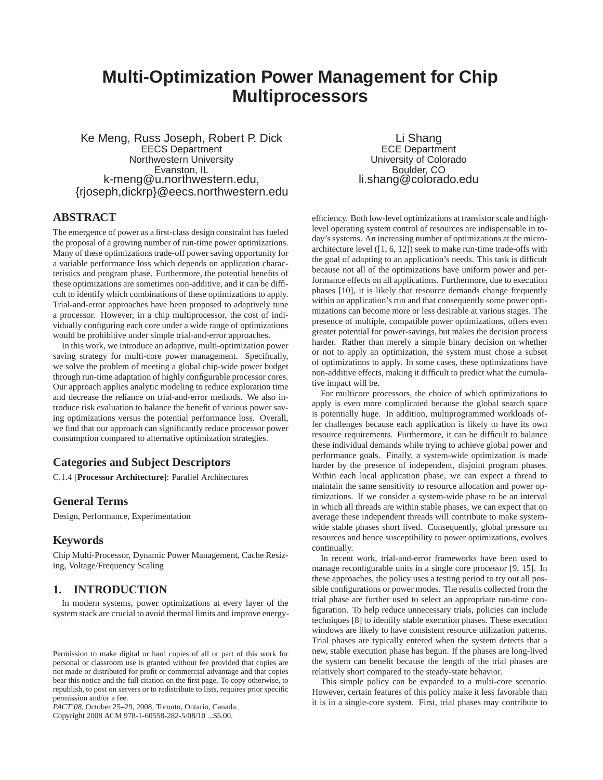# **Multi-Optimization Power Management for Chip Multiprocessors**

Ke Meng, Russ Joseph, Robert P. Dick EECS Department Northwestern University Evanston, IL k-meng@u.northwestern.edu, {rjoseph,dickrp}@eecs.northwestern.edu

Li Shang ECE Department University of Colorado Boulder, CO li.shang@colorado.edu

# **ABSTRACT**

The emergence of power as a first-class design constraint has fueled the proposal of a growing number of run-time power optimizations. Many of these optimizations trade-off power saving opportunity for a variable performance loss which depends on application characteristics and program phase. Furthermore, the potential benefits of these optimizations are sometimes non-additive, and it can be difficult to identify which combinations of these optimizations to apply. Trial-and-error approaches have been proposed to adaptively tune a processor. However, in a chip multiprocessor, the cost of individually configuring each core under a wide range of optimizations would be prohibitive under simple trial-and-error approaches.

In this work, we introduce an adaptive, multi-optimization power saving strategy for multi-core power management. Specifically, we solve the problem of meeting a global chip-wide power budget through run-time adaptation of highly configurable processor cores. Our approach applies analytic modeling to reduce exploration time and decrease the reliance on trial-and-error methods. We also introduce risk evaluation to balance the benefit of various power saving optimizations versus the potential performance loss. Overall, we find that our approach can significantly reduce processor power consumption compared to alternative optimization strategies.

## **Categories and Subject Descriptors**

C.1.4 [**Processor Architecture**]: Parallel Architectures

#### **General Terms**

Design, Performance, Experimentation

# **Keywords**

Chip Multi-Processor, Dynamic Power Management, Cache Resizing, Voltage/Frequency Scaling

### **1. INTRODUCTION**

In modern systems, power optimizations at every layer of the system stack are crucial to avoid thermal limits and improve energy-

*PACT'08,* October 25–29, 2008, Toronto, Ontario, Canada.

Copyright 2008 ACM 978-1-60558-282-5/08/10 ...\$5.00.

efficiency. Both low-level optimizations at transistor scale and highlevel operating system control of resources are indispensable in today's systems. An increasing number of optimizations at the microarchitecture level ([1, 6, 12]) seek to make run-time trade-offs with the goal of adapting to an application's needs. This task is difficult because not all of the optimizations have uniform power and performance effects on all applications. Furthermore, due to execution phases [10], it is likely that resource demands change frequently within an application's run and that consequently some power optimizations can become more or less desirable at various stages. The presence of multiple, compatible power optimizations, offers even greater potential for power-savings, but makes the decision process harder. Rather than merely a simple binary decision on whether or not to apply an optimization, the system must chose a subset of optimizations to apply. In some cases, these optimizations have non-additive effects, making it difficult to predict what the cumulative impact will be.

For multicore processors, the choice of which optimizations to apply is even more complicated because the global search space is potentially huge. In addition, multiprogrammed workloads offer challenges because each application is likely to have its own resource requirements. Furthermore, it can be difficult to balance these individual demands while trying to achieve global power and performance goals. Finally, a system-wide optimization is made harder by the presence of independent, disjoint program phases. Within each local application phase, we can expect a thread to maintain the same sensitivity to resource allocation and power optimizations. If we consider a system-wide phase to be an interval in which all threads are within stable phases, we can expect that on average these independent threads will contribute to make systemwide stable phases short lived. Consequently, global pressure on resources and hence susceptibility to power optimizations, evolves continually.

In recent work, trial-and-error frameworks have been used to manage reconfigurable units in a single core processor [9, 15]. In these approaches, the policy uses a testing period to try out all possible configurations or power modes. The results collected from the trial phase are further used to select an appropriate run-time configuration. To help reduce unnecessary trials, policies can include techniques [8] to identify stable execution phases. These execution windows are likely to have consistent resource utilization patterns. Trial phases are typically entered when the system detects that a new, stable execution phase has begun. If the phases are long-lived the system can benefit because the length of the trial phases are relatively short compared to the steady-state behavior.

This simple policy can be expanded to a multi-core scenario. However, certain features of this policy make it less favorable than it is in a single-core system. First, trial phases may contribute to

Permission to make digital or hard copies of all or part of this work for personal or classroom use is granted without fee provided that copies are not made or distributed for profit or commercial advantage and that copies bear this notice and the full citation on the first page. To copy otherwise, to republish, to post on servers or to redistribute to lists, requires prior specific permission and/or a fee.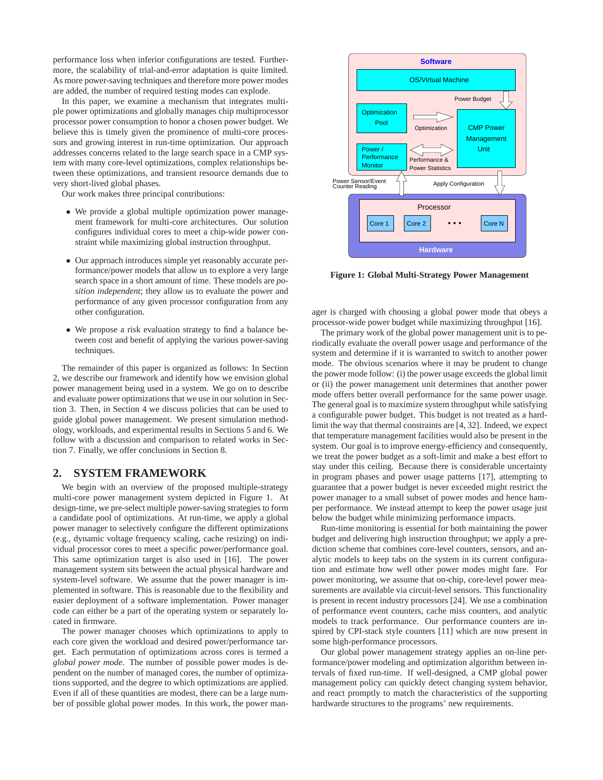performance loss when inferior configurations are tested. Furthermore, the scalability of trial-and-error adaptation is quite limited. As more power-saving techniques and therefore more power modes are added, the number of required testing modes can explode.

In this paper, we examine a mechanism that integrates multiple power optimizations and globally manages chip multiprocessor processor power consumption to honor a chosen power budget. We believe this is timely given the prominence of multi-core processors and growing interest in run-time optimization. Our approach addresses concerns related to the large search space in a CMP system with many core-level optimizations, complex relationships between these optimizations, and transient resource demands due to very short-lived global phases.

Our work makes three principal contributions:

- We provide a global multiple optimization power management framework for multi-core architectures. Our solution configures individual cores to meet a chip-wide power constraint while maximizing global instruction throughput.
- Our approach introduces simple yet reasonably accurate performance/power models that allow us to explore a very large search space in a short amount of time. These models are *position independent*; they allow us to evaluate the power and performance of any given processor configuration from any other configuration.
- We propose a risk evaluation strategy to find a balance between cost and benefit of applying the various power-saving techniques.

The remainder of this paper is organized as follows: In Section 2, we describe our framework and identify how we envision global power management being used in a system. We go on to describe and evaluate power optimizations that we use in our solution in Section 3. Then, in Section 4 we discuss policies that can be used to guide global power management. We present simulation methodology, workloads, and experimental results in Sections 5 and 6. We follow with a discussion and comparison to related works in Section 7. Finally, we offer conclusions in Section 8.

#### **2. SYSTEM FRAMEWORK**

We begin with an overview of the proposed multiple-strategy multi-core power management system depicted in Figure 1. At design-time, we pre-select multiple power-saving strategies to form a candidate pool of optimizations. At run-time, we apply a global power manager to selectively configure the different optimizations (e.g., dynamic voltage frequency scaling, cache resizing) on individual processor cores to meet a specific power/performance goal. This same optimization target is also used in [16]. The power management system sits between the actual physical hardware and system-level software. We assume that the power manager is implemented in software. This is reasonable due to the flexibility and easier deployment of a software implementation. Power manager code can either be a part of the operating system or separately located in firmware.

The power manager chooses which optimizations to apply to each core given the workload and desired power/performance target. Each permutation of optimizations across cores is termed a *global power mode*. The number of possible power modes is dependent on the number of managed cores, the number of optimizations supported, and the degree to which optimizations are applied. Even if all of these quantities are modest, there can be a large number of possible global power modes. In this work, the power man-



**Figure 1: Global Multi-Strategy Power Management**

ager is charged with choosing a global power mode that obeys a processor-wide power budget while maximizing throughput [16].

The primary work of the global power management unit is to periodically evaluate the overall power usage and performance of the system and determine if it is warranted to switch to another power mode. The obvious scenarios where it may be prudent to change the power mode follow: (i) the power usage exceeds the global limit or (ii) the power management unit determines that another power mode offers better overall performance for the same power usage. The general goal is to maximize system throughput while satisfying a configurable power budget. This budget is not treated as a hardlimit the way that thermal constraints are [4, 32]. Indeed, we expect that temperature management facilities would also be present in the system. Our goal is to improve energy-efficiency and consequently, we treat the power budget as a soft-limit and make a best effort to stay under this ceiling. Because there is considerable uncertainty in program phases and power usage patterns [17], attempting to guarantee that a power budget is never exceeded might restrict the power manager to a small subset of power modes and hence hamper performance. We instead attempt to keep the power usage just below the budget while minimizing performance impacts.

Run-time monitoring is essential for both maintaining the power budget and delivering high instruction throughput; we apply a prediction scheme that combines core-level counters, sensors, and analytic models to keep tabs on the system in its current configuration and estimate how well other power modes might fare. For power monitoring, we assume that on-chip, core-level power measurements are available via circuit-level sensors. This functionality is present in recent industry processors [24]. We use a combination of performance event counters, cache miss counters, and analytic models to track performance. Our performance counters are inspired by CPI-stack style counters [11] which are now present in some high-performance processors.

Our global power management strategy applies an on-line performance/power modeling and optimization algorithm between intervals of fixed run-time. If well-designed, a CMP global power management policy can quickly detect changing system behavior, and react promptly to match the characteristics of the supporting hardwarde structures to the programs' new requirements.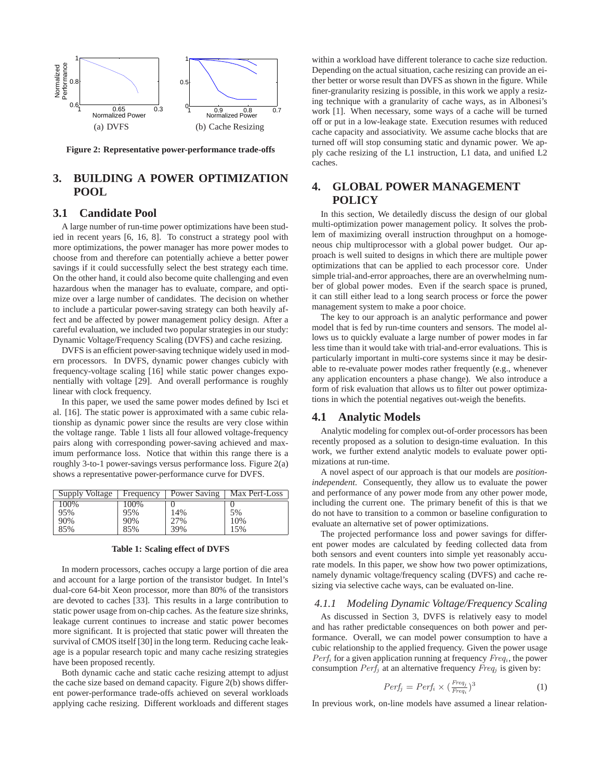

**Figure 2: Representative power-performance trade-offs**

# **3. BUILDING A POWER OPTIMIZATION POOL**

#### **3.1 Candidate Pool**

A large number of run-time power optimizations have been studied in recent years [6, 16, 8]. To construct a strategy pool with more optimizations, the power manager has more power modes to choose from and therefore can potentially achieve a better power savings if it could successfully select the best strategy each time. On the other hand, it could also become quite challenging and even hazardous when the manager has to evaluate, compare, and optimize over a large number of candidates. The decision on whether to include a particular power-saving strategy can both heavily affect and be affected by power management policy design. After a careful evaluation, we included two popular strategies in our study: Dynamic Voltage/Frequency Scaling (DVFS) and cache resizing.

DVFS is an efficient power-saving technique widely used in modern processors. In DVFS, dynamic power changes cubicly with frequency-voltage scaling [16] while static power changes exponentially with voltage [29]. And overall performance is roughly linear with clock frequency.

In this paper, we used the same power modes defined by Isci et al. [16]. The static power is approximated with a same cubic relationship as dynamic power since the results are very close within the voltage range. Table 1 lists all four allowed voltage-frequency pairs along with corresponding power-saving achieved and maximum performance loss. Notice that within this range there is a roughly 3-to-1 power-savings versus performance loss. Figure 2(a) shows a representative power-performance curve for DVFS.

| Supply Voltage | Frequency | Power Saving | Max Perf-Loss |
|----------------|-----------|--------------|---------------|
| $100\%$        | 100%      |              |               |
| 95%            | 95%       | 14%          | 5%            |
| 90%            | 90%       | 27%          | 10%           |
| 85%            | 85%       | 39%          | 15%           |

#### **Table 1: Scaling effect of DVFS**

In modern processors, caches occupy a large portion of die area and account for a large portion of the transistor budget. In Intel's dual-core 64-bit Xeon processor, more than 80% of the transistors are devoted to caches [33]. This results in a large contribution to static power usage from on-chip caches. As the feature size shrinks, leakage current continues to increase and static power becomes more significant. It is projected that static power will threaten the survival of CMOS itself [30] in the long term. Reducing cache leakage is a popular research topic and many cache resizing strategies have been proposed recently.

Both dynamic cache and static cache resizing attempt to adjust the cache size based on demand capacity. Figure 2(b) shows different power-performance trade-offs achieved on several workloads applying cache resizing. Different workloads and different stages

within a workload have different tolerance to cache size reduction. Depending on the actual situation, cache resizing can provide an either better or worse result than DVFS as shown in the figure. While finer-granularity resizing is possible, in this work we apply a resizing technique with a granularity of cache ways, as in Albonesi's work [1]. When necessary, some ways of a cache will be turned off or put in a low-leakage state. Execution resumes with reduced cache capacity and associativity. We assume cache blocks that are turned off will stop consuming static and dynamic power. We apply cache resizing of the L1 instruction, L1 data, and unified L2 caches.

# **4. GLOBAL POWER MANAGEMENT POLICY**

In this section, We detailedly discuss the design of our global multi-optimization power management policy. It solves the problem of maximizing overall instruction throughput on a homogeneous chip multiprocessor with a global power budget. Our approach is well suited to designs in which there are multiple power optimizations that can be applied to each processor core. Under simple trial-and-error approaches, there are an overwhelming number of global power modes. Even if the search space is pruned, it can still either lead to a long search process or force the power management system to make a poor choice.

The key to our approach is an analytic performance and power model that is fed by run-time counters and sensors. The model allows us to quickly evaluate a large number of power modes in far less time than it would take with trial-and-error evaluations. This is particularly important in multi-core systems since it may be desirable to re-evaluate power modes rather frequently (e.g., whenever any application encounters a phase change). We also introduce a form of risk evaluation that allows us to filter out power optimizations in which the potential negatives out-weigh the benefits.

#### **4.1 Analytic Models**

Analytic modeling for complex out-of-order processors has been recently proposed as a solution to design-time evaluation. In this work, we further extend analytic models to evaluate power optimizations at run-time.

A novel aspect of our approach is that our models are *positionindependent*. Consequently, they allow us to evaluate the power and performance of any power mode from any other power mode, including the current one. The primary benefit of this is that we do not have to transition to a common or baseline configuration to evaluate an alternative set of power optimizations.

The projected performance loss and power savings for different power modes are calculated by feeding collected data from both sensors and event counters into simple yet reasonably accurate models. In this paper, we show how two power optimizations, namely dynamic voltage/frequency scaling (DVFS) and cache resizing via selective cache ways, can be evaluated on-line.

#### *4.1.1 Modeling Dynamic Voltage/Frequency Scaling*

As discussed in Section 3, DVFS is relatively easy to model and has rather predictable consequences on both power and performance. Overall, we can model power consumption to have a cubic relationship to the applied frequency. Given the power usage  $Perf_i$  for a given application running at frequency  $Freq_i$ , the power consumption  $Perf_i$  at an alternative frequency  $Freq_i$  is given by:

$$
Perf_j = Perf_i \times \left(\frac{Freq_j}{Freq_i}\right)^3 \tag{1}
$$

In previous work, on-line models have assumed a linear relation-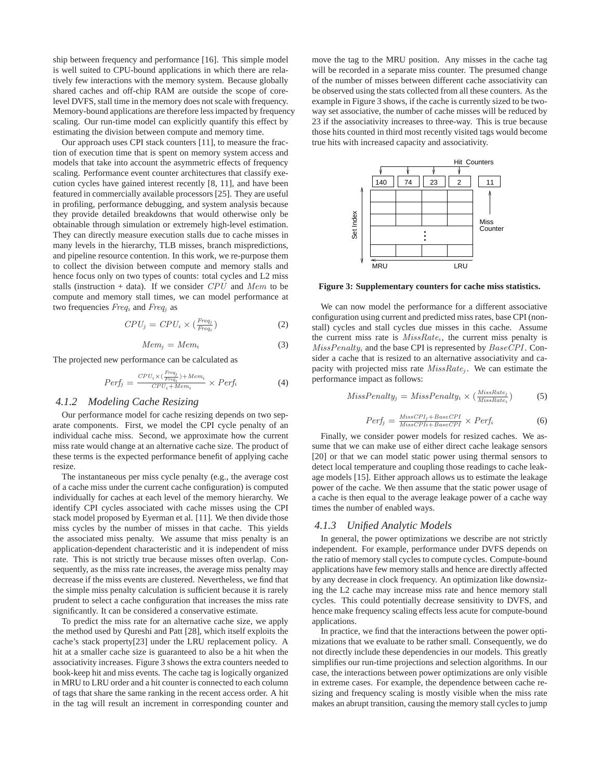ship between frequency and performance [16]. This simple model is well suited to CPU-bound applications in which there are relatively few interactions with the memory system. Because globally shared caches and off-chip RAM are outside the scope of corelevel DVFS, stall time in the memory does not scale with frequency. Memory-bound applications are therefore less impacted by frequency scaling. Our run-time model can explicitly quantify this effect by estimating the division between compute and memory time.

Our approach uses CPI stack counters [11], to measure the fraction of execution time that is spent on memory system access and models that take into account the asymmetric effects of frequency scaling. Performance event counter architectures that classify execution cycles have gained interest recently [8, 11], and have been featured in commercially available processors [25]. They are useful in profiling, performance debugging, and system analysis because they provide detailed breakdowns that would otherwise only be obtainable through simulation or extremely high-level estimation. They can directly measure execution stalls due to cache misses in many levels in the hierarchy, TLB misses, branch mispredictions, and pipeline resource contention. In this work, we re-purpose them to collect the division between compute and memory stalls and hence focus only on two types of counts: total cycles and L2 miss stalls (instruction  $+$  data). If we consider  $CPU$  and  $Mem$  to be compute and memory stall times, we can model performance at two frequencies  $Freq_i$  and  $Freq_j$  as

$$
CPU_j = CPU_i \times (\frac{Freq_j}{Freq_i})
$$
 (2)

$$
Mem_j = Mem_i \tag{3}
$$

The projected new performance can be calculated as

$$
Perf_j = \frac{CPU_i \times (\frac{Freq_j}{Freq_i}) + Mem_i}{CPU_i + Mem_i} \times Perf_i
$$
\n(4)

#### *4.1.2 Modeling Cache Resizing*

Our performance model for cache resizing depends on two separate components. First, we model the CPI cycle penalty of an individual cache miss. Second, we approximate how the current miss rate would change at an alternative cache size. The product of these terms is the expected performance benefit of applying cache resize.

The instantaneous per miss cycle penalty (e.g., the average cost of a cache miss under the current cache configuration) is computed individually for caches at each level of the memory hierarchy. We identify CPI cycles associated with cache misses using the CPI stack model proposed by Eyerman et al. [11]. We then divide those miss cycles by the number of misses in that cache. This yields the associated miss penalty. We assume that miss penalty is an application-dependent characteristic and it is independent of miss rate. This is not strictly true because misses often overlap. Consequently, as the miss rate increases, the average miss penalty may decrease if the miss events are clustered. Nevertheless, we find that the simple miss penalty calculation is sufficient because it is rarely prudent to select a cache configuration that increases the miss rate significantly. It can be considered a conservative estimate.

To predict the miss rate for an alternative cache size, we apply the method used by Qureshi and Patt [28], which itself exploits the cache's stack property[23] under the LRU replacement policy. A hit at a smaller cache size is guaranteed to also be a hit when the associativity increases. Figure 3 shows the extra counters needed to book-keep hit and miss events. The cache tag is logically organized in MRU to LRU order and a hit counter is connected to each column of tags that share the same ranking in the recent access order. A hit in the tag will result an increment in corresponding counter and move the tag to the MRU position. Any misses in the cache tag will be recorded in a separate miss counter. The presumed change of the number of misses between different cache associativity can be observed using the stats collected from all these counters. As the example in Figure 3 shows, if the cache is currently sized to be twoway set associative, the number of cache misses will be reduced by 23 if the associativity increases to three-way. This is true because those hits counted in third most recently visited tags would become true hits with increased capacity and associativity.



**Figure 3: Supplementary counters for cache miss statistics.**

We can now model the performance for a different associative configuration using current and predicted miss rates, base CPI (nonstall) cycles and stall cycles due misses in this cache. Assume the current miss rate is  $MissRate_i$ , the current miss penalty is  $MissPenalty_i$  and the base CPI is represented by  $BaseCPI$ . Consider a cache that is resized to an alternative associativity and capacity with projected miss rate  $MissRate_i$ . We can estimate the performance impact as follows:

$$
MissPenalty_j = MissPenalty_i \times (\frac{MissRate_j}{MissRate_i})
$$
 (5)

$$
Perf_j = \frac{MissCPI_j + BaseCPI}{MissCPIi + BaseCPI} \times Perf_i \tag{6}
$$

Finally, we consider power models for resized caches. We assume that we can make use of either direct cache leakage sensors [20] or that we can model static power using thermal sensors to detect local temperature and coupling those readings to cache leakage models [15]. Either approach allows us to estimate the leakage power of the cache. We then assume that the static power usage of a cache is then equal to the average leakage power of a cache way times the number of enabled ways.

#### *4.1.3 Unified Analytic Models*

In general, the power optimizations we describe are not strictly independent. For example, performance under DVFS depends on the ratio of memory stall cycles to compute cycles. Compute-bound applications have few memory stalls and hence are directly affected by any decrease in clock frequency. An optimization like downsizing the L2 cache may increase miss rate and hence memory stall cycles. This could potentially decrease sensitivity to DVFS, and hence make frequency scaling effects less acute for compute-bound applications.

In practice, we find that the interactions between the power optimizations that we evaluate to be rather small. Consequently, we do not directly include these dependencies in our models. This greatly simplifies our run-time projections and selection algorithms. In our case, the interactions between power optimizations are only visible in extreme cases. For example, the dependence between cache resizing and frequency scaling is mostly visible when the miss rate makes an abrupt transition, causing the memory stall cycles to jump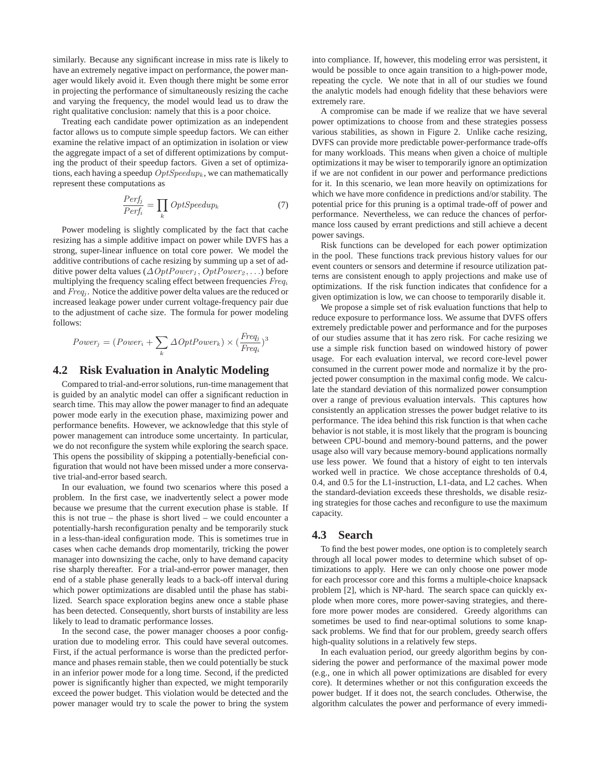similarly. Because any significant increase in miss rate is likely to have an extremely negative impact on performance, the power manager would likely avoid it. Even though there might be some error in projecting the performance of simultaneously resizing the cache and varying the frequency, the model would lead us to draw the right qualitative conclusion: namely that this is a poor choice.

Treating each candidate power optimization as an independent factor allows us to compute simple speedup factors. We can either examine the relative impact of an optimization in isolation or view the aggregate impact of a set of different optimizations by computing the product of their speedup factors. Given a set of optimizations, each having a speedup  $OptSpeedup_k$ , we can mathematically represent these computations as

$$
\frac{Perf_j}{Perf_i} = \prod_k OptSpeedup_k \tag{7}
$$

Power modeling is slightly complicated by the fact that cache resizing has a simple additive impact on power while DVFS has a strong, super-linear influence on total core power. We model the additive contributions of cache resizing by summing up a set of additive power delta values ( $\triangle OptPower_1$ ,  $OptPower_2$ , ...) before multiplying the frequency scaling effect between frequencies  $Freq_i$ and  $Freq_i$ . Notice the additive power delta values are the reduced or increased leakage power under current voltage-frequency pair due to the adjustment of cache size. The formula for power modeling follows:

$$
Power_j = (Power_i + \sum_k \Delta OptPower_k) \times (\frac{Freq_j}{Freq_i})^3
$$

#### **4.2 Risk Evaluation in Analytic Modeling**

Compared to trial-and-error solutions, run-time management that is guided by an analytic model can offer a significant reduction in search time. This may allow the power manager to find an adequate power mode early in the execution phase, maximizing power and performance benefits. However, we acknowledge that this style of power management can introduce some uncertainty. In particular, we do not reconfigure the system while exploring the search space. This opens the possibility of skipping a potentially-beneficial configuration that would not have been missed under a more conservative trial-and-error based search.

In our evaluation, we found two scenarios where this posed a problem. In the first case, we inadvertently select a power mode because we presume that the current execution phase is stable. If this is not true – the phase is short lived – we could encounter a potentially-harsh reconfiguration penalty and be temporarily stuck in a less-than-ideal configuration mode. This is sometimes true in cases when cache demands drop momentarily, tricking the power manager into downsizing the cache, only to have demand capacity rise sharply thereafter. For a trial-and-error power manager, then end of a stable phase generally leads to a back-off interval during which power optimizations are disabled until the phase has stabilized. Search space exploration begins anew once a stable phase has been detected. Consequently, short bursts of instability are less likely to lead to dramatic performance losses.

In the second case, the power manager chooses a poor configuration due to modeling error. This could have several outcomes. First, if the actual performance is worse than the predicted performance and phases remain stable, then we could potentially be stuck in an inferior power mode for a long time. Second, if the predicted power is significantly higher than expected, we might temporarily exceed the power budget. This violation would be detected and the power manager would try to scale the power to bring the system into compliance. If, however, this modeling error was persistent, it would be possible to once again transition to a high-power mode, repeating the cycle. We note that in all of our studies we found the analytic models had enough fidelity that these behaviors were extremely rare.

A compromise can be made if we realize that we have several power optimizations to choose from and these strategies possess various stabilities, as shown in Figure 2. Unlike cache resizing, DVFS can provide more predictable power-performance trade-offs for many workloads. This means when given a choice of multiple optimizations it may be wiser to temporarily ignore an optimization if we are not confident in our power and performance predictions for it. In this scenario, we lean more heavily on optimizations for which we have more confidence in predictions and/or stability. The potential price for this pruning is a optimal trade-off of power and performance. Nevertheless, we can reduce the chances of performance loss caused by errant predictions and still achieve a decent power savings.

Risk functions can be developed for each power optimization in the pool. These functions track previous history values for our event counters or sensors and determine if resource utilization patterns are consistent enough to apply projections and make use of optimizations. If the risk function indicates that confidence for a given optimization is low, we can choose to temporarily disable it.

We propose a simple set of risk evaluation functions that help to reduce exposure to performance loss. We assume that DVFS offers extremely predictable power and performance and for the purposes of our studies assume that it has zero risk. For cache resizing we use a simple risk function based on windowed history of power usage. For each evaluation interval, we record core-level power consumed in the current power mode and normalize it by the projected power consumption in the maximal config mode. We calculate the standard deviation of this normalized power consumption over a range of previous evaluation intervals. This captures how consistently an application stresses the power budget relative to its performance. The idea behind this risk function is that when cache behavior is not stable, it is most likely that the program is bouncing between CPU-bound and memory-bound patterns, and the power usage also will vary because memory-bound applications normally use less power. We found that a history of eight to ten intervals worked well in practice. We chose acceptance thresholds of 0.4, 0.4, and 0.5 for the L1-instruction, L1-data, and L2 caches. When the standard-deviation exceeds these thresholds, we disable resizing strategies for those caches and reconfigure to use the maximum capacity.

#### **4.3 Search**

To find the best power modes, one option is to completely search through all local power modes to determine which subset of optimizations to apply. Here we can only choose one power mode for each processor core and this forms a multiple-choice knapsack problem [2], which is NP-hard. The search space can quickly explode when more cores, more power-saving strategies, and therefore more power modes are considered. Greedy algorithms can sometimes be used to find near-optimal solutions to some knapsack problems. We find that for our problem, greedy search offers high-quality solutions in a relatively few steps.

In each evaluation period, our greedy algorithm begins by considering the power and performance of the maximal power mode (e.g., one in which all power optimizations are disabled for every core). It determines whether or not this configuration exceeds the power budget. If it does not, the search concludes. Otherwise, the algorithm calculates the power and performance of every immedi-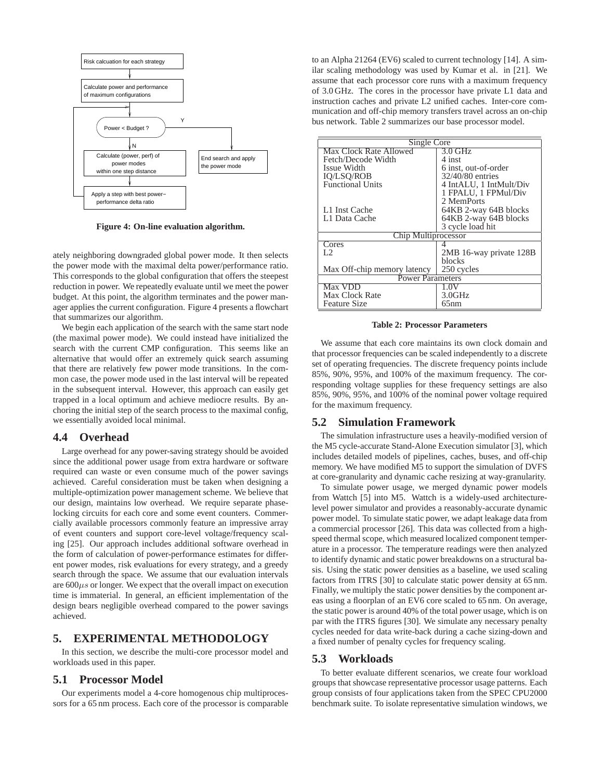

**Figure 4: On-line evaluation algorithm.**

ately neighboring downgraded global power mode. It then selects the power mode with the maximal delta power/performance ratio. This corresponds to the global configuration that offers the steepest reduction in power. We repeatedly evaluate until we meet the power budget. At this point, the algorithm terminates and the power manager applies the current configuration. Figure 4 presents a flowchart that summarizes our algorithm.

We begin each application of the search with the same start node (the maximal power mode). We could instead have initialized the search with the current CMP configuration. This seems like an alternative that would offer an extremely quick search assuming that there are relatively few power mode transitions. In the common case, the power mode used in the last interval will be repeated in the subsequent interval. However, this approach can easily get trapped in a local optimum and achieve mediocre results. By anchoring the initial step of the search process to the maximal config, we essentially avoided local minimal.

#### **4.4 Overhead**

Large overhead for any power-saving strategy should be avoided since the additional power usage from extra hardware or software required can waste or even consume much of the power savings achieved. Careful consideration must be taken when designing a multiple-optimization power management scheme. We believe that our design, maintains low overhead. We require separate phaselocking circuits for each core and some event counters. Commercially available processors commonly feature an impressive array of event counters and support core-level voltage/frequency scaling [25]. Our approach includes additional software overhead in the form of calculation of power-performance estimates for different power modes, risk evaluations for every strategy, and a greedy search through the space. We assume that our evaluation intervals are  $600\mu s$  or longer. We expect that the overall impact on execution time is immaterial. In general, an efficient implementation of the design bears negligible overhead compared to the power savings achieved.

#### **5. EXPERIMENTAL METHODOLOGY**

In this section, we describe the multi-core processor model and workloads used in this paper.

#### **5.1 Processor Model**

Our experiments model a 4-core homogenous chip multiprocessors for a 65 nm process. Each core of the processor is comparable to an Alpha 21264 (EV6) scaled to current technology [14]. A similar scaling methodology was used by Kumar et al. in [21]. We assume that each processor core runs with a maximum frequency of 3.0 GHz. The cores in the processor have private L1 data and instruction caches and private L2 unified caches. Inter-core communication and off-chip memory transfers travel across an on-chip bus network. Table 2 summarizes our base processor model.

| Single Core                 |                         |  |  |  |
|-----------------------------|-------------------------|--|--|--|
| Max Clock Rate Allowed      | 3.0 GHz                 |  |  |  |
| Fetch/Decode Width          | 4 inst                  |  |  |  |
| Issue Width                 | 6 inst, out-of-order    |  |  |  |
| IQ/LSQ/ROB                  | 32/40/80 entries        |  |  |  |
| <b>Functional Units</b>     | 4 IntALU, 1 IntMult/Div |  |  |  |
|                             | 1 FPALU, 1 FPMul/Div    |  |  |  |
|                             | 2. MemPorts             |  |  |  |
| L1 Inst Cache               | 64KB 2-way 64B blocks   |  |  |  |
| L1 Data Cache               | 64KB 2-way 64B blocks   |  |  |  |
|                             | 3 cycle load hit        |  |  |  |
| <b>Chip Multiprocessor</b>  |                         |  |  |  |
| Cores                       |                         |  |  |  |
| L2                          | 2MB 16-way private 128B |  |  |  |
|                             | blocks                  |  |  |  |
| Max Off-chip memory latency | 250 cycles              |  |  |  |
| <b>Power Parameters</b>     |                         |  |  |  |
| Max VDD                     |                         |  |  |  |
| Max Clock Rate              | 3.0GHz                  |  |  |  |
| <b>Feature Size</b>         | 65nm                    |  |  |  |

#### **Table 2: Processor Parameters**

We assume that each core maintains its own clock domain and that processor frequencies can be scaled independently to a discrete set of operating frequencies. The discrete frequency points include 85%, 90%, 95%, and 100% of the maximum frequency. The corresponding voltage supplies for these frequency settings are also 85%, 90%, 95%, and 100% of the nominal power voltage required for the maximum frequency.

#### **5.2 Simulation Framework**

The simulation infrastructure uses a heavily-modified version of the M5 cycle-accurate Stand-Alone Execution simulator [3], which includes detailed models of pipelines, caches, buses, and off-chip memory. We have modified M5 to support the simulation of DVFS at core-granularity and dynamic cache resizing at way-granularity.

To simulate power usage, we merged dynamic power models from Wattch [5] into M5. Wattch is a widely-used architecturelevel power simulator and provides a reasonably-accurate dynamic power model. To simulate static power, we adapt leakage data from a commercial processor [26]. This data was collected from a highspeed thermal scope, which measured localized component temperature in a processor. The temperature readings were then analyzed to identify dynamic and static power breakdowns on a structural basis. Using the static power densities as a baseline, we used scaling factors from ITRS [30] to calculate static power density at 65 nm. Finally, we multiply the static power densities by the component areas using a floorplan of an EV6 core scaled to 65 nm. On average, the static power is around 40% of the total power usage, which is on par with the ITRS figures [30]. We simulate any necessary penalty cycles needed for data write-back during a cache sizing-down and a fixed number of penalty cycles for frequency scaling.

#### **5.3 Workloads**

To better evaluate different scenarios, we create four workload groups that showcase representative processor usage patterns. Each group consists of four applications taken from the SPEC CPU2000 benchmark suite. To isolate representative simulation windows, we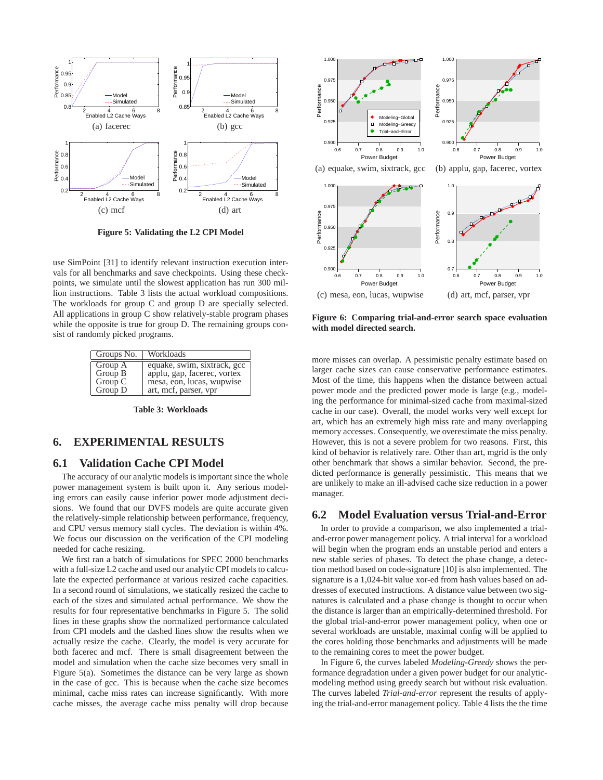

**Figure 5: Validating the L2 CPI Model**

use SimPoint [31] to identify relevant instruction execution intervals for all benchmarks and save checkpoints. Using these checkpoints, we simulate until the slowest application has run 300 million instructions. Table 3 lists the actual workload compositions. The workloads for group C and group D are specially selected. All applications in group C show relatively-stable program phases while the opposite is true for group D. The remaining groups consist of randomly picked programs.

| $\sqrt{\frac{1}{100}}$ Groups No. | Workloads                   |
|-----------------------------------|-----------------------------|
| Group A                           | equake, swim, sixtrack, gcc |
| Group B                           | applu, gap, facerec, vortex |
| Group C                           | mesa, eon, lucas, wupwise   |
| Group D                           | art, mcf, parser, vpr       |

**Table 3: Workloads**

### **6. EXPERIMENTAL RESULTS**

#### **6.1 Validation Cache CPI Model**

The accuracy of our analytic models is important since the whole power management system is built upon it. Any serious modeling errors can easily cause inferior power mode adjustment decisions. We found that our DVFS models are quite accurate given the relatively-simple relationship between performance, frequency, and CPU versus memory stall cycles. The deviation is within 4%. We focus our discussion on the verification of the CPI modeling needed for cache resizing.

We first ran a batch of simulations for SPEC 2000 benchmarks with a full-size L2 cache and used our analytic CPI models to calculate the expected performance at various resized cache capacities. In a second round of simulations, we statically resized the cache to each of the sizes and simulated actual performance. We show the results for four representative benchmarks in Figure 5. The solid lines in these graphs show the normalized performance calculated from CPI models and the dashed lines show the results when we actually resize the cache. Clearly, the model is very accurate for both facerec and mcf. There is small disagreement between the model and simulation when the cache size becomes very small in Figure 5(a). Sometimes the distance can be very large as shown in the case of gcc. This is because when the cache size becomes minimal, cache miss rates can increase significantly. With more cache misses, the average cache miss penalty will drop because



**Figure 6: Comparing trial-and-error search space evaluation with model directed search.**

more misses can overlap. A pessimistic penalty estimate based on larger cache sizes can cause conservative performance estimates. Most of the time, this happens when the distance between actual power mode and the predicted power mode is large (e.g., modeling the performance for minimal-sized cache from maximal-sized cache in our case). Overall, the model works very well except for art, which has an extremely high miss rate and many overlapping memory accesses. Consequently, we overestimate the miss penalty. However, this is not a severe problem for two reasons. First, this kind of behavior is relatively rare. Other than art, mgrid is the only other benchmark that shows a similar behavior. Second, the predicted performance is generally pessimistic. This means that we are unlikely to make an ill-advised cache size reduction in a power manager.

#### **6.2 Model Evaluation versus Trial-and-Error**

In order to provide a comparison, we also implemented a trialand-error power management policy. A trial interval for a workload will begin when the program ends an unstable period and enters a new stable series of phases. To detect the phase change, a detection method based on code-signature [10] is also implemented. The signature is a 1,024-bit value xor-ed from hash values based on addresses of executed instructions. A distance value between two signatures is calculated and a phase change is thought to occur when the distance is larger than an empirically-determined threshold. For the global trial-and-error power management policy, when one or several workloads are unstable, maximal config will be applied to the cores holding those benchmarks and adjustments will be made to the remaining cores to meet the power budget.

In Figure 6, the curves labeled *Modeling-Greedy* shows the performance degradation under a given power budget for our analyticmodeling method using greedy search but without risk evaluation. The curves labeled *Trial-and-error* represent the results of applying the trial-and-error management policy. Table 4 lists the the time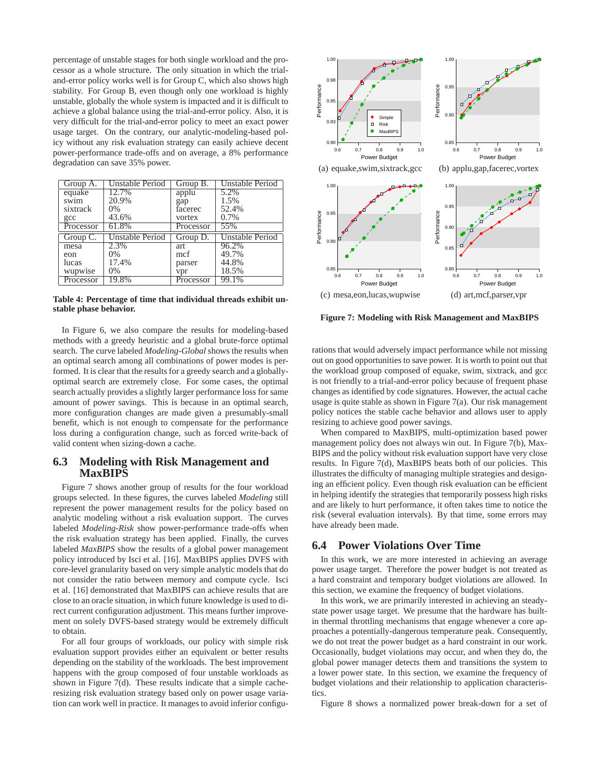percentage of unstable stages for both single workload and the processor as a whole structure. The only situation in which the trialand-error policy works well is for Group C, which also shows high stability. For Group B, even though only one workload is highly unstable, globally the whole system is impacted and it is difficult to achieve a global balance using the trial-and-error policy. Also, it is very difficult for the trial-and-error policy to meet an exact power usage target. On the contrary, our analytic-modeling-based policy without any risk evaluation strategy can easily achieve decent power-performance trade-offs and on average, a 8% performance degradation can save 35% power.

| Group A.     | Unstable Period        | Group B.  | Unstable Period        |
|--------------|------------------------|-----------|------------------------|
| equake       | 12.7%                  | applu     | 5.2%                   |
| swim         | 20.9%                  | gap       | 1.5%                   |
| sixtrack     | 0%                     | facerec   | 52.4%                  |
| $_{\rm gcc}$ | 43.6%                  | vortex    | 0.7%                   |
| Processor    | 61.8%                  | Processor | 55%                    |
|              |                        |           |                        |
| Group C.     | <b>Unstable Period</b> | Group D.  | <b>Unstable Period</b> |
| mesa         | 2.3%                   | art       | 96.2%                  |
| eon          | $0\%$                  | mcf       | 49.7%                  |
| lucas        | 17.4%                  | parser    | 44.8%                  |
| wupwise      | $0\%$                  | vpr       | 18.5%                  |

**Table 4: Percentage of time that individual threads exhibit unstable phase behavior.**

In Figure 6, we also compare the results for modeling-based methods with a greedy heuristic and a global brute-force optimal search. The curve labeled *Modeling-Global* shows the results when an optimal search among all combinations of power modes is performed. It is clear that the results for a greedy search and a globallyoptimal search are extremely close. For some cases, the optimal search actually provides a slightly larger performance loss for same amount of power savings. This is because in an optimal search, more configuration changes are made given a presumably-small benefit, which is not enough to compensate for the performance loss during a configuration change, such as forced write-back of valid content when sizing-down a cache.

#### **6.3 Modeling with Risk Management and MaxBIPS**

Figure 7 shows another group of results for the four workload groups selected. In these figures, the curves labeled *Modeling* still represent the power management results for the policy based on analytic modeling without a risk evaluation support. The curves labeled *Modeling-Risk* show power-performance trade-offs when the risk evaluation strategy has been applied. Finally, the curves labeled *MaxBIPS* show the results of a global power management policy introduced by Isci et al. [16]. MaxBIPS applies DVFS with core-level granularity based on very simple analytic models that do not consider the ratio between memory and compute cycle. Isci et al. [16] demonstrated that MaxBIPS can achieve results that are close to an oracle situation, in which future knowledge is used to direct current configuration adjustment. This means further improvement on solely DVFS-based strategy would be extremely difficult to obtain.

For all four groups of workloads, our policy with simple risk evaluation support provides either an equivalent or better results depending on the stability of the workloads. The best improvement happens with the group composed of four unstable workloads as shown in Figure 7(d). These results indicate that a simple cacheresizing risk evaluation strategy based only on power usage variation can work well in practice. It manages to avoid inferior configu-



**Figure 7: Modeling with Risk Management and MaxBIPS**

rations that would adversely impact performance while not missing out on good opportunities to save power. It is worth to point out that the workload group composed of equake, swim, sixtrack, and gcc is not friendly to a trial-and-error policy because of frequent phase changes as identified by code signatures. However, the actual cache usage is quite stable as shown in Figure 7(a). Our risk management policy notices the stable cache behavior and allows user to apply resizing to achieve good power savings.

When compared to MaxBIPS, multi-optimization based power management policy does not always win out. In Figure 7(b), Max-BIPS and the policy without risk evaluation support have very close results. In Figure 7(d), MaxBIPS beats both of our policies. This illustrates the difficulty of managing multiple strategies and designing an efficient policy. Even though risk evaluation can be efficient in helping identify the strategies that temporarily possess high risks and are likely to hurt performance, it often takes time to notice the risk (several evaluation intervals). By that time, some errors may have already been made.

# **6.4 Power Violations Over Time**

In this work, we are more interested in achieving an average power usage target. Therefore the power budget is not treated as a hard constraint and temporary budget violations are allowed. In this section, we examine the frequency of budget violations.

In this work, we are primarily interested in achieving an steadystate power usage target. We presume that the hardware has builtin thermal throttling mechanisms that engage whenever a core approaches a potentially-dangerous temperature peak. Consequently, we do not treat the power budget as a hard constraint in our work. Occasionally, budget violations may occur, and when they do, the global power manager detects them and transitions the system to a lower power state. In this section, we examine the frequency of budget violations and their relationship to application characteristics.

Figure 8 shows a normalized power break-down for a set of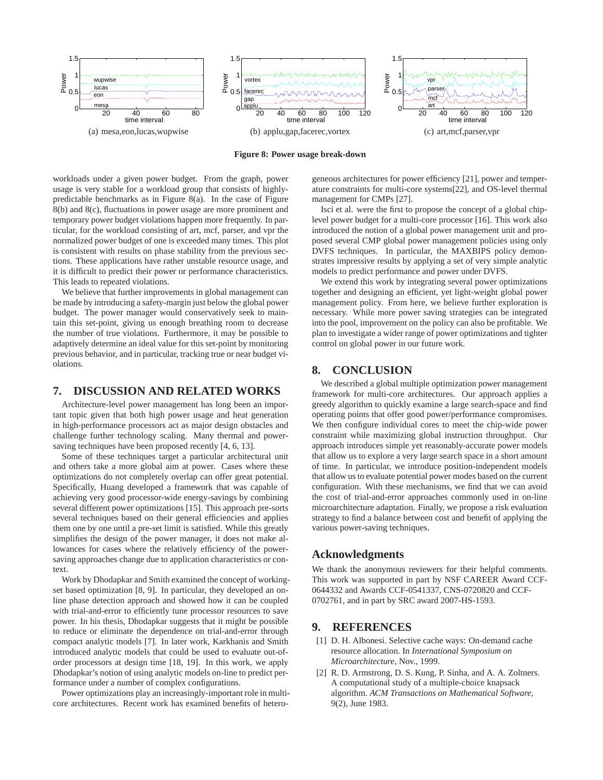

**Figure 8: Power usage break-down**

workloads under a given power budget. From the graph, power usage is very stable for a workload group that consists of highlypredictable benchmarks as in Figure 8(a). In the case of Figure 8(b) and 8(c), fluctuations in power usage are more prominent and temporary power budget violations happen more frequently. In particular, for the workload consisting of art, mcf, parser, and vpr the normalized power budget of one is exceeded many times. This plot is consistent with results on phase stability from the previous sections. These applications have rather unstable resource usage, and it is difficult to predict their power or performance characteristics. This leads to repeated violations.

We believe that further improvements in global management can be made by introducing a safety-margin just below the global power budget. The power manager would conservatively seek to maintain this set-point, giving us enough breathing room to decrease the number of true violations. Furthermore, it may be possible to adaptively determine an ideal value for this set-point by monitoring previous behavior, and in particular, tracking true or near budget violations.

## **7. DISCUSSION AND RELATED WORKS**

Architecture-level power management has long been an important topic given that both high power usage and heat generation in high-performance processors act as major design obstacles and challenge further technology scaling. Many thermal and powersaving techniques have been proposed recently [4, 6, 13].

Some of these techniques target a particular architectural unit and others take a more global aim at power. Cases where these optimizations do not completely overlap can offer great potential. Specifically, Huang developed a framework that was capable of achieving very good processor-wide energy-savings by combining several different power optimizations [15]. This approach pre-sorts several techniques based on their general efficiencies and applies them one by one until a pre-set limit is satisfied. While this greatly simplifies the design of the power manager, it does not make allowances for cases where the relatively efficiency of the powersaving approaches change due to application characteristics or context.

Work by Dhodapkar and Smith examined the concept of workingset based optimization [8, 9]. In particular, they developed an online phase detection approach and showed how it can be coupled with trial-and-error to efficiently tune processor resources to save power. In his thesis, Dhodapkar suggests that it might be possible to reduce or eliminate the dependence on trial-and-error through compact analytic models [7]. In later work, Karkhanis and Smith introduced analytic models that could be used to evaluate out-oforder processors at design time [18, 19]. In this work, we apply Dhodapkar's notion of using analytic models on-line to predict performance under a number of complex configurations.

Power optimizations play an increasingly-important role in multicore architectures. Recent work has examined benefits of heterogeneous architectures for power efficiency [21], power and temperature constraints for multi-core systems[22], and OS-level thermal management for CMPs [27].

Isci et al. were the first to propose the concept of a global chiplevel power budget for a multi-core processor [16]. This work also introduced the notion of a global power management unit and proposed several CMP global power management policies using only DVFS techniques. In particular, the MAXBIPS policy demonstrates impressive results by applying a set of very simple analytic models to predict performance and power under DVFS.

We extend this work by integrating several power optimizations together and designing an efficient, yet light-weight global power management policy. From here, we believe further exploration is necessary. While more power saving strategies can be integrated into the pool, improvement on the policy can also be profitable. We plan to investigate a wider range of power optimizations and tighter control on global power in our future work.

## **8. CONCLUSION**

We described a global multiple optimization power management framework for multi-core architectures. Our approach applies a greedy algorithm to quickly examine a large search-space and find operating points that offer good power/performance compromises. We then configure individual cores to meet the chip-wide power constraint while maximizing global instruction throughput. Our approach introduces simple yet reasonably-accurate power models that allow us to explore a very large search space in a short amount of time. In particular, we introduce position-independent models that allow us to evaluate potential power modes based on the current configuration. With these mechanisms, we find that we can avoid the cost of trial-and-error approaches commonly used in on-line microarchitecture adaptation. Finally, we propose a risk evaluation strategy to find a balance between cost and benefit of applying the various power-saving techniques.

### **Acknowledgments**

We thank the anonymous reviewers for their helpful comments. This work was supported in part by NSF CAREER Award CCF-0644332 and Awards CCF-0541337, CNS-0720820 and CCF-0702761, and in part by SRC award 2007-HS-1593.

### **9. REFERENCES**

- [1] D. H. Albonesi. Selective cache ways: On-demand cache resource allocation. In *International Symposium on Microarchitecture*, Nov., 1999.
- [2] R. D. Armstrong, D. S. Kung, P. Sinha, and A. A. Zoltners. A computational study of a multiple-choice knapsack algorithm. *ACM Transactions on Mathematical Software*, 9(2), June 1983.